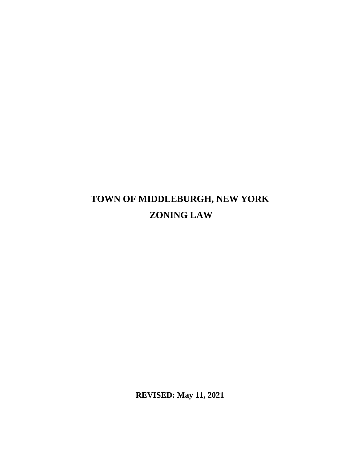## **TOWN OF MIDDLEBURGH, NEW YORK ZONING LAW**

**REVISED: May 11, 2021**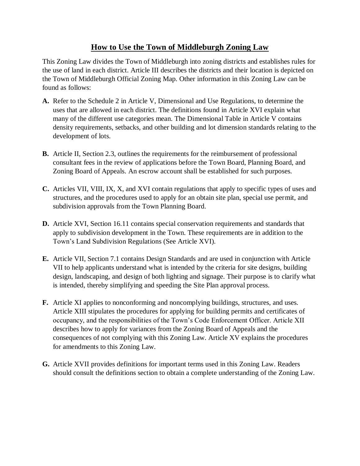## **How to Use the Town of Middleburgh Zoning Law**

This Zoning Law divides the Town of Middleburgh into zoning districts and establishes rules for the use of land in each district. Article III describes the districts and their location is depicted on the Town of Middleburgh Official Zoning Map. Other information in this Zoning Law can be found as follows:

- **A.** Refer to the Schedule 2 in Article V, Dimensional and Use Regulations, to determine the uses that are allowed in each district. The definitions found in Article XVI explain what many of the different use categories mean. The Dimensional Table in Article V contains density requirements, setbacks, and other building and lot dimension standards relating to the development of lots.
- **B.** Article II, Section 2.3, outlines the requirements for the reimbursement of professional consultant fees in the review of applications before the Town Board, Planning Board, and Zoning Board of Appeals. An escrow account shall be established for such purposes.
- **C.** Articles VII, VIII, IX, X, and XVI contain regulations that apply to specific types of uses and structures, and the procedures used to apply for an obtain site plan, special use permit, and subdivision approvals from the Town Planning Board.
- **D.** Article XVI, Section 16.11 contains special conservation requirements and standards that apply to subdivision development in the Town. These requirements are in addition to the Town's Land Subdivision Regulations (See Article XVI).
- **E.** Article VII, Section 7.1 contains Design Standards and are used in conjunction with Article VII to help applicants understand what is intended by the criteria for site designs, building design, landscaping, and design of both lighting and signage. Their purpose is to clarify what is intended, thereby simplifying and speeding the Site Plan approval process.
- **F.** Article XI applies to nonconforming and noncomplying buildings, structures, and uses. Article XIII stipulates the procedures for applying for building permits and certificates of occupancy, and the responsibilities of the Town's Code Enforcement Officer. Article XII describes how to apply for variances from the Zoning Board of Appeals and the consequences of not complying with this Zoning Law. Article XV explains the procedures for amendments to this Zoning Law.
- **G.** Article XVII provides definitions for important terms used in this Zoning Law. Readers should consult the definitions section to obtain a complete understanding of the Zoning Law.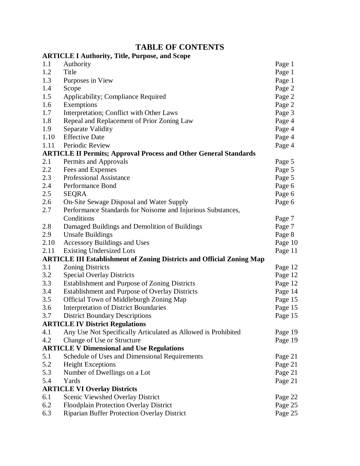## **TABLE OF CONTENTS**

|      | <b>ARTICLE I Authority, Title, Purpose, and Scope</b>                        |         |
|------|------------------------------------------------------------------------------|---------|
| 1.1  | Authority                                                                    | Page 1  |
| 1.2  | Title                                                                        | Page 1  |
| 1.3  | Purposes in View                                                             | Page 1  |
| 1.4  | Scope                                                                        | Page 2  |
| 1.5  | Applicability; Compliance Required                                           | Page 2  |
| 1.6  | Exemptions                                                                   | Page 2  |
| 1.7  | Interpretation; Conflict with Other Laws                                     | Page 3  |
| 1.8  | Repeal and Replacement of Prior Zoning Law                                   | Page 4  |
| 1.9  | Separate Validity                                                            | Page 4  |
| 1.10 | <b>Effective Date</b>                                                        | Page 4  |
| 1.11 | Periodic Review                                                              | Page 4  |
|      | <b>ARTICLE II Permits; Approval Process and Other General Standards</b>      |         |
| 2.1  | Permits and Approvals                                                        | Page 5  |
| 2.2  | Fees and Expenses                                                            | Page 5  |
| 2.3  | <b>Professional Assistance</b>                                               | Page 5  |
| 2.4  | Performance Bond                                                             | Page 6  |
| 2.5  | <b>SEQRA</b>                                                                 | Page 6  |
| 2.6  | On-Site Sewage Disposal and Water Supply                                     | Page 6  |
| 2.7  | Performance Standards for Noisome and Injurious Substances,                  |         |
|      | Conditions                                                                   | Page 7  |
| 2.8  | Damaged Buildings and Demolition of Buildings                                | Page 7  |
| 2.9  | <b>Unsafe Buildings</b>                                                      | Page 8  |
| 2.10 | <b>Accessory Buildings and Uses</b>                                          | Page 10 |
| 2.11 | <b>Existing Undersized Lots</b>                                              | Page 11 |
|      | <b>ARTICLE III Establishment of Zoning Districts and Official Zoning Map</b> |         |
| 3.1  | <b>Zoning Districts</b>                                                      | Page 12 |
| 3.2  | <b>Special Overlay Districts</b>                                             | Page 12 |
| 3.3  | <b>Establishment and Purpose of Zoning Districts</b>                         | Page 12 |
| 3.4  | <b>Establishment and Purpose of Overlay Districts</b>                        | Page 14 |
| 3.5  | Official Town of Middleburgh Zoning Map                                      | Page 15 |
| 3.6  | <b>Interpretation of District Boundaries</b>                                 | Page 15 |
| 3.7  | <b>District Boundary Descriptions</b>                                        | Page 15 |
|      | <b>ARTICLE IV District Regulations</b>                                       |         |
| 4.1  | Any Use Not Specifically Articulated as Allowed is Prohibited                | Page 19 |
| 4.2  | Change of Use or Structure                                                   | Page 19 |
|      | <b>ARTICLE V Dimensional and Use Regulations</b>                             |         |
| 5.1  | Schedule of Uses and Dimensional Requirements                                | Page 21 |
| 5.2  | <b>Height Exceptions</b>                                                     | Page 21 |
| 5.3  | Number of Dwellings on a Lot                                                 | Page 21 |
| 5.4  | Yards                                                                        | Page 21 |
|      | <b>ARTICLE VI Overlay Districts</b>                                          |         |
| 6.1  | Scenic Viewshed Overlay District                                             | Page 22 |
| 6.2  | Floodplain Protection Overlay District                                       | Page 25 |
| 6.3  | <b>Riparian Buffer Protection Overlay District</b>                           | Page 25 |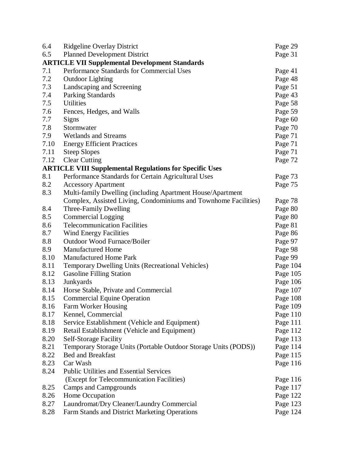| 6.4  | <b>Ridgeline Overlay District</b>                               | Page 29  |
|------|-----------------------------------------------------------------|----------|
| 6.5  | <b>Planned Development District</b>                             | Page 31  |
|      | <b>ARTICLE VII Supplemental Development Standards</b>           |          |
| 7.1  | Performance Standards for Commercial Uses                       | Page 41  |
| 7.2  | <b>Outdoor Lighting</b>                                         | Page 48  |
| 7.3  | Landscaping and Screening                                       | Page 51  |
| 7.4  | Parking Standards                                               | Page 43  |
| 7.5  | <b>Utilities</b>                                                | Page 58  |
| 7.6  | Fences, Hedges, and Walls                                       | Page 59  |
| 7.7  | Signs                                                           | Page 60  |
| 7.8  | Stormwater                                                      | Page 70  |
| 7.9  | Wetlands and Streams                                            | Page 71  |
| 7.10 | <b>Energy Efficient Practices</b>                               | Page 71  |
| 7.11 | <b>Steep Slopes</b>                                             | Page 71  |
| 7.12 | <b>Clear Cutting</b>                                            | Page 72  |
|      | <b>ARTICLE VIII Supplemental Regulations for Specific Uses</b>  |          |
| 8.1  | Performance Standards for Certain Agricultural Uses             | Page 73  |
| 8.2  | <b>Accessory Apartment</b>                                      | Page 75  |
| 8.3  | Multi-family Dwelling (including Apartment House/Apartment      |          |
|      | Complex, Assisted Living, Condominiums and Townhome Facilities) | Page 78  |
| 8.4  | Three-Family Dwelling                                           | Page 80  |
| 8.5  | <b>Commercial Logging</b>                                       | Page 80  |
| 8.6  | <b>Telecommunication Facilities</b>                             | Page 81  |
| 8.7  | Wind Energy Facilities                                          | Page 86  |
| 8.8  | <b>Outdoor Wood Furnace/Boiler</b>                              | Page 97  |
| 8.9  | <b>Manufactured Home</b>                                        | Page 98  |
| 8.10 | <b>Manufactured Home Park</b>                                   | Page 99  |
| 8.11 | <b>Temporary Dwelling Units (Recreational Vehicles)</b>         | Page 104 |
| 8.12 | <b>Gasoline Filling Station</b>                                 | Page 105 |
| 8.13 | Junkyards                                                       | Page 106 |
| 8.14 | Horse Stable, Private and Commercial                            | Page 107 |
| 8.15 | <b>Commercial Equine Operation</b>                              | Page 108 |
| 8.16 | Farm Worker Housing                                             | Page 109 |
| 8.17 | Kennel, Commercial                                              | Page 110 |
| 8.18 | Service Establishment (Vehicle and Equipment)                   | Page 111 |
| 8.19 | Retail Establishment (Vehicle and Equipment)                    | Page 112 |
| 8.20 | <b>Self-Storage Facility</b>                                    | Page 113 |
| 8.21 | Temporary Storage Units (Portable Outdoor Storage Units (PODS)) | Page 114 |
| 8.22 | <b>Bed and Breakfast</b>                                        | Page 115 |
| 8.23 | Car Wash                                                        | Page 116 |
| 8.24 | <b>Public Utilities and Essential Services</b>                  |          |
|      | (Except for Telecommunication Facilities)                       | Page 116 |
| 8.25 | <b>Camps and Campgrounds</b>                                    | Page 117 |
| 8.26 | Home Occupation                                                 | Page 122 |
| 8.27 | Laundromat/Dry Cleaner/Laundry Commercial                       | Page 123 |
| 8.28 | Farm Stands and District Marketing Operations                   | Page 124 |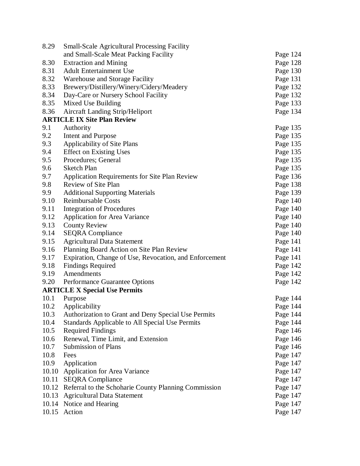| 8.29  | <b>Small-Scale Agricultural Processing Facility</b>    |          |
|-------|--------------------------------------------------------|----------|
|       | and Small-Scale Meat Packing Facility                  | Page 124 |
| 8.30  | <b>Extraction and Mining</b>                           | Page 128 |
| 8.31  | <b>Adult Entertainment Use</b>                         | Page 130 |
| 8.32  | Warehouse and Storage Facility                         | Page 131 |
| 8.33  | Brewery/Distillery/Winery/Cidery/Meadery               | Page 132 |
| 8.34  | Day-Care or Nursery School Facility                    | Page 132 |
| 8.35  | Mixed Use Building                                     | Page 133 |
| 8.36  | <b>Aircraft Landing Strip/Heliport</b>                 | Page 134 |
|       | <b>ARTICLE IX Site Plan Review</b>                     |          |
| 9.1   | Authority                                              | Page 135 |
| 9.2   | Intent and Purpose                                     | Page 135 |
| 9.3   | Applicability of Site Plans                            | Page 135 |
| 9.4   | <b>Effect on Existing Uses</b>                         | Page 135 |
| 9.5   | Procedures; General                                    | Page 135 |
| 9.6   | <b>Sketch Plan</b>                                     | Page 135 |
| 9.7   | <b>Application Requirements for Site Plan Review</b>   | Page 136 |
| 9.8   | Review of Site Plan                                    | Page 138 |
| 9.9   | <b>Additional Supporting Materials</b>                 | Page 139 |
| 9.10  | <b>Reimbursable Costs</b>                              | Page 140 |
| 9.11  | <b>Integration of Procedures</b>                       | Page 140 |
| 9.12  | <b>Application for Area Variance</b>                   | Page 140 |
| 9.13  | <b>County Review</b>                                   | Page 140 |
| 9.14  | <b>SEQRA</b> Compliance                                | Page 140 |
| 9.15  | <b>Agricultural Data Statement</b>                     | Page 141 |
| 9.16  | Planning Board Action on Site Plan Review              | Page 141 |
| 9.17  | Expiration, Change of Use, Revocation, and Enforcement | Page 141 |
| 9.18  | <b>Findings Required</b>                               | Page 142 |
| 9.19  | Amendments                                             | Page 142 |
| 9.20  | Performance Guarantee Options                          | Page 142 |
|       | <b>ARTICLE X Special Use Permits</b>                   |          |
| 10.1  | Purpose                                                | Page 144 |
| 10.2  | Applicability                                          | Page 144 |
| 10.3  | Authorization to Grant and Deny Special Use Permits    | Page 144 |
| 10.4  | Standards Applicable to All Special Use Permits        | Page 144 |
| 10.5  | <b>Required Findings</b>                               | Page 146 |
| 10.6  | Renewal, Time Limit, and Extension                     | Page 146 |
| 10.7  | <b>Submission of Plans</b>                             | Page 146 |
| 10.8  | Fees                                                   | Page 147 |
| 10.9  | Application                                            | Page 147 |
|       | 10.10 Application for Area Variance                    | Page 147 |
| 10.11 | <b>SEQRA</b> Compliance                                | Page 147 |
| 10.12 | Referral to the Schoharie County Planning Commission   | Page 147 |
|       | 10.13 Agricultural Data Statement                      | Page 147 |
|       | 10.14 Notice and Hearing                               | Page 147 |
|       | 10.15 Action                                           | Page 147 |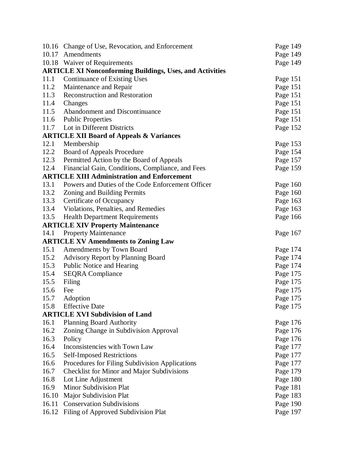|                                    | 10.16 Change of Use, Revocation, and Enforcement                | Page 149 |  |
|------------------------------------|-----------------------------------------------------------------|----------|--|
| 10.17                              | Amendments<br>Page 149                                          |          |  |
|                                    | 10.18 Waiver of Requirements                                    |          |  |
|                                    | <b>ARTICLE XI Nonconforming Buildings, Uses, and Activities</b> |          |  |
| 11.1                               | <b>Continuance of Existing Uses</b>                             | Page 151 |  |
| 11.2                               | Maintenance and Repair                                          | Page 151 |  |
| 11.3                               | <b>Reconstruction and Restoration</b>                           | Page 151 |  |
| 11.4                               | Changes                                                         | Page 151 |  |
| 11.5                               | Abandonment and Discontinuance                                  | Page 151 |  |
| 11.6                               | <b>Public Properties</b>                                        |          |  |
| 11.7<br>Lot in Different Districts |                                                                 | Page 152 |  |
|                                    | <b>ARTICLE XII Board of Appeals &amp; Variances</b>             |          |  |
| 12.1                               | Membership                                                      | Page 153 |  |
| 12.2                               | <b>Board of Appeals Procedure</b>                               | Page 154 |  |
| 12.3                               | Permitted Action by the Board of Appeals                        | Page 157 |  |
| 12.4                               | Financial Gain, Conditions, Compliance, and Fees                | Page 159 |  |
|                                    | <b>ARTICLE XIII Administration and Enforcement</b>              |          |  |
| 13.1                               | Powers and Duties of the Code Enforcement Officer               | Page 160 |  |
| 13.2                               | Zoning and Building Permits                                     | Page 160 |  |
| 13.3                               | Certificate of Occupancy                                        | Page 163 |  |
| 13.4                               | Violations, Penalties, and Remedies                             | Page 163 |  |
| 13.5                               | <b>Health Department Requirements</b>                           | Page 166 |  |
|                                    | <b>ARTICLE XIV Property Maintenance</b>                         |          |  |
| 14.1                               | <b>Property Maintenance</b>                                     | Page 167 |  |
|                                    | <b>ARTICLE XV Amendments to Zoning Law</b>                      |          |  |
| 15.1                               | Amendments by Town Board                                        | Page 174 |  |
| 15.2                               | <b>Advisory Report by Planning Board</b>                        | Page 174 |  |
| 15.3                               | Public Notice and Hearing                                       | Page 174 |  |
| 15.4                               | <b>SEQRA</b> Compliance                                         | Page 175 |  |
| 15.5                               | Filing                                                          | Page 175 |  |
| 15.6                               | Fee                                                             | Page 175 |  |
| 15.7                               | Adoption                                                        | Page 175 |  |
| 15.8                               | <b>Effective Date</b>                                           | Page 175 |  |
|                                    | <b>ARTICLE XVI Subdivision of Land</b>                          |          |  |
| 16.1                               | <b>Planning Board Authority</b>                                 | Page 176 |  |
| 16.2                               | Zoning Change in Subdivision Approval                           | Page 176 |  |
| 16.3                               | Policy                                                          | Page 176 |  |
| 16.4                               | Inconsistencies with Town Law                                   | Page 177 |  |
| 16.5                               | <b>Self-Imposed Restrictions</b>                                | Page 177 |  |
| 16.6                               | Procedures for Filing Subdivision Applications                  | Page 177 |  |
| 16.7                               | <b>Checklist for Minor and Major Subdivisions</b>               | Page 179 |  |
| 16.8                               | Lot Line Adjustment                                             | Page 180 |  |
| 16.9                               | Minor Subdivision Plat                                          | Page 181 |  |
| 16.10                              | <b>Major Subdivision Plat</b>                                   | Page 183 |  |
| 16.11                              | <b>Conservation Subdivisions</b>                                | Page 190 |  |
| 16.12                              | Filing of Approved Subdivision Plat                             | Page 197 |  |